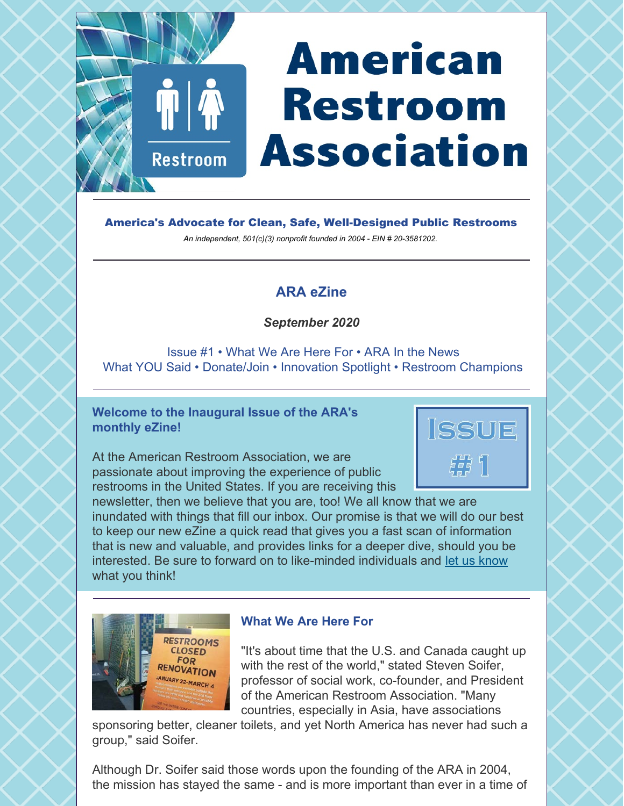# **American Restroom Association**

America's Advocate for Clean, Safe, Well-Designed Public Restrooms

*An independent, 501(c)(3) nonprofit founded in 2004 - EIN # 20-3581202.*

# **ARA eZine**

### *September 2020*

Issue #1 • What We Are Here For • ARA In the News What YOU Said • Donate/Join • Innovation Spotlight • Restroom Champions

#### **Welcome to the Inaugural Issue of the ARA's monthly eZine!**

**Restroom** 

At the American Restroom Association, we are passionate about improving the experience of public restrooms in the United States. If you are receiving this



newsletter, then we believe that you are, too! We all know that we are inundated with things that fill our inbox. Our promise is that we will do our best to keep our new eZine a quick read that gives you a fast scan of information that is new and valuable, and provides links for a deeper dive, should you be interested. Be sure to forward on to like-minded individuals and [let us know](https://americanrestroom.org/contact/) what you think!



#### **What We Are Here For**

"It's about time that the U.S. and Canada caught up with the rest of the world," stated Steven Soifer, professor of social work, co-founder, and President of the American Restroom Association. "Many countries, especially in Asia, have associations

sponsoring better, cleaner toilets, and yet North America has never had such a group," said Soifer.

Although Dr. Soifer said those words upon the founding of the ARA in 2004, the mission has stayed the same - and is more important than ever in a time of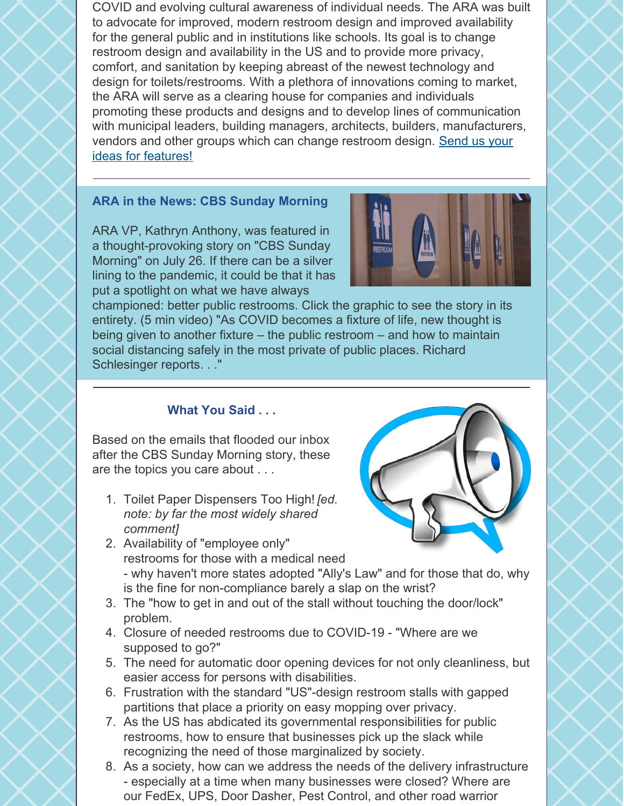COVID and evolving cultural awareness of individual needs. The ARA was built to advocate for improved, modern restroom design and improved availability for the general public and in institutions like schools. Its goal is to change restroom design and availability in the US and to provide more privacy, comfort, and sanitation by keeping abreast of the newest technology and design for toilets/restrooms. With a plethora of innovations coming to market, the ARA will serve as a clearing house for companies and individuals promoting these products and designs and to develop lines of communication with municipal leaders, building managers, architects, builders, manufacturers, [vendors and other groups which can change restroom design. Send us your](https://americanrestroom.org/contact/) ideas for features!

#### **ARA in the News: CBS Sunday Morning**

ARA VP, Kathryn Anthony, was featured in a thought-provoking story on "CBS Sunday Morning" on July 26. If there can be a silver lining to the pandemic, it could be that it has put a spotlight on what we have always



championed: better public restrooms. Click the graphic to see the story in its entirety. (5 min video) "As COVID becomes a fixture of life, new thought is being given to another fixture – the public restroom – and how to maintain social distancing safely in the most private of public places. Richard Schlesinger reports. . ."

#### **What You Said . . .**

Based on the emails that flooded our inbox after the CBS Sunday Morning story, these are the topics you care about . . .

1. Toilet Paper Dispensers Too High! *[ed. note: by far the most widely shared comment]*



- 2. Availability of "employee only" restrooms for those with a medical need - why haven't more states adopted "Ally's Law" and for those that do, why is the fine for non-compliance barely a slap on the wrist?
- 3. The "how to get in and out of the stall without touching the door/lock" problem.
- 4. Closure of needed restrooms due to COVID-19 "Where are we supposed to go?"
- 5. The need for automatic door opening devices for not only cleanliness, but easier access for persons with disabilities.
- 6. Frustration with the standard "US"-design restroom stalls with gapped partitions that place a priority on easy mopping over privacy.
- 7. As the US has abdicated its governmental responsibilities for public restrooms, how to ensure that businesses pick up the slack while recognizing the need of those marginalized by society.
- 8. As a society, how can we address the needs of the delivery infrastructure - especially at a time when many businesses were closed? Where are our FedEx, UPS, Door Dasher, Pest Control, and other road warrior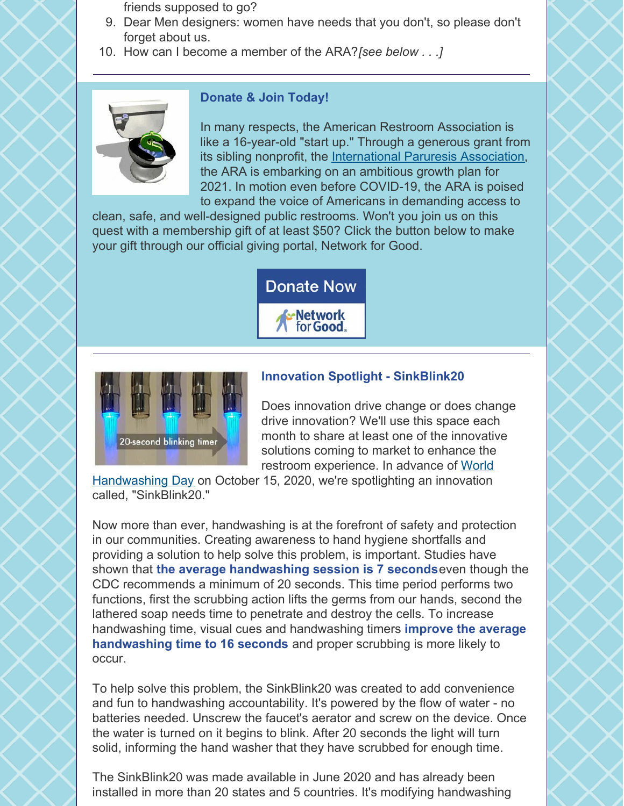friends supposed to go?

- 9. Dear Men designers: women have needs that you don't, so please don't forget about us.
- 10. How can I become a member of the ARA? *[see below . . .]*



#### **Donate & Join Today!**

In many respects, the American Restroom Association is like a 16-year-old "start up." Through a generous grant from its sibling nonprofit, the [International Paruresis Association](https://paruresis.org), the ARA is embarking on an ambitious growth plan for 2021. In motion even before COVID-19, the ARA is poised to expand the voice of Americans in demanding access to

clean, safe, and well-designed public restrooms. Won't you join us on this quest with a membership gift of at least \$50? Click the button below to make your gift through our official giving portal, Network for Good.

**Donate Now** 

**Network** for Good



## **Innovation Spotlight - SinkBlink20**

Does innovation drive change or does change drive innovation? We'll use this space each month to share at least one of the innovative solutions coming to market to enhance the restroom experience. In advance of World

[Handwashing Day on October 15, 2020, we're spotlighting an innovation](https://globalhandwashing.org/global-handwashing-day/) called, "SinkBlink20."

Now more than ever, handwashing is at the forefront of safety and protection in our communities. Creating awareness to hand hygiene shortfalls and providing a solution to help solve this problem, is important. Studies have shown that **the average handwashing session is 7 seconds** even though the CDC recommends a minimum of 20 seconds. This time period performs two functions, first the scrubbing action lifts the germs from our hands, second the lathered soap needs time to penetrate and destroy the cells. To increase handwashing time, visual cues and handwashing timers **improve the average handwashing time to 16 seconds** and proper scrubbing is more likely to occur.

To help solve this problem, the SinkBlink20 was created to add convenience and fun to handwashing accountability. It's powered by the flow of water - no batteries needed. Unscrew the faucet's aerator and screw on the device. Once the water is turned on it begins to blink. After 20 seconds the light will turn solid, informing the hand washer that they have scrubbed for enough time.

The SinkBlink20 was made available in June 2020 and has already been installed in more than 20 states and 5 countries. It's modifying handwashing